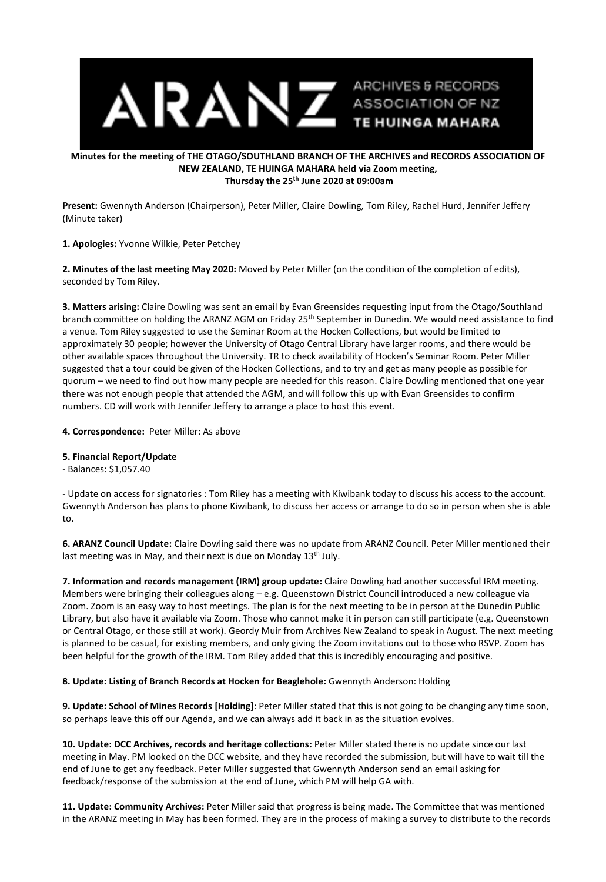

## **Minutes for the meeting of THE OTAGO/SOUTHLAND BRANCH OF THE ARCHIVES and RECORDS ASSOCIATION OF NEW ZEALAND, TE HUINGA MAHARA held via Zoom meeting, Thursday the 25th June 2020 at 09:00am**

**Present:** Gwennyth Anderson (Chairperson), Peter Miller, Claire Dowling, Tom Riley, Rachel Hurd, Jennifer Jeffery (Minute taker)

**1. Apologies:** Yvonne Wilkie, Peter Petchey

**2. Minutes of the last meeting May 2020:** Moved by Peter Miller (on the condition of the completion of edits), seconded by Tom Riley.

**3. Matters arising:** Claire Dowling was sent an email by Evan Greensides requesting input from the Otago/Southland branch committee on holding the ARANZ AGM on Friday 25th September in Dunedin. We would need assistance to find a venue. Tom Riley suggested to use the Seminar Room at the Hocken Collections, but would be limited to approximately 30 people; however the University of Otago Central Library have larger rooms, and there would be other available spaces throughout the University. TR to check availability of Hocken's Seminar Room. Peter Miller suggested that a tour could be given of the Hocken Collections, and to try and get as many people as possible for quorum – we need to find out how many people are needed for this reason. Claire Dowling mentioned that one year there was not enough people that attended the AGM, and will follow this up with Evan Greensides to confirm numbers. CD will work with Jennifer Jeffery to arrange a place to host this event.

**4. Correspondence:** Peter Miller: As above

## **5. Financial Report/Update**

- Balances: \$1,057.40

- Update on access for signatories : Tom Riley has a meeting with Kiwibank today to discuss his access to the account. Gwennyth Anderson has plans to phone Kiwibank, to discuss her access or arrange to do so in person when she is able to.

**6. ARANZ Council Update:** Claire Dowling said there was no update from ARANZ Council. Peter Miller mentioned their last meeting was in May, and their next is due on Monday 13<sup>th</sup> July.

**7. Information and records management (IRM) group update:** Claire Dowling had another successful IRM meeting. Members were bringing their colleagues along – e.g. Queenstown District Council introduced a new colleague via Zoom. Zoom is an easy way to host meetings. The plan is for the next meeting to be in person at the Dunedin Public Library, but also have it available via Zoom. Those who cannot make it in person can still participate (e.g. Queenstown or Central Otago, or those still at work). Geordy Muir from Archives New Zealand to speak in August. The next meeting is planned to be casual, for existing members, and only giving the Zoom invitations out to those who RSVP. Zoom has been helpful for the growth of the IRM. Tom Riley added that this is incredibly encouraging and positive.

**8. Update: Listing of Branch Records at Hocken for Beaglehole:** Gwennyth Anderson: Holding

**9. Update: School of Mines Records [Holding]**: Peter Miller stated that this is not going to be changing any time soon, so perhaps leave this off our Agenda, and we can always add it back in as the situation evolves.

**10. Update: DCC Archives, records and heritage collections:** Peter Miller stated there is no update since our last meeting in May. PM looked on the DCC website, and they have recorded the submission, but will have to wait till the end of June to get any feedback. Peter Miller suggested that Gwennyth Anderson send an email asking for feedback/response of the submission at the end of June, which PM will help GA with.

**11. Update: Community Archives:** Peter Miller said that progress is being made. The Committee that was mentioned in the ARANZ meeting in May has been formed. They are in the process of making a survey to distribute to the records